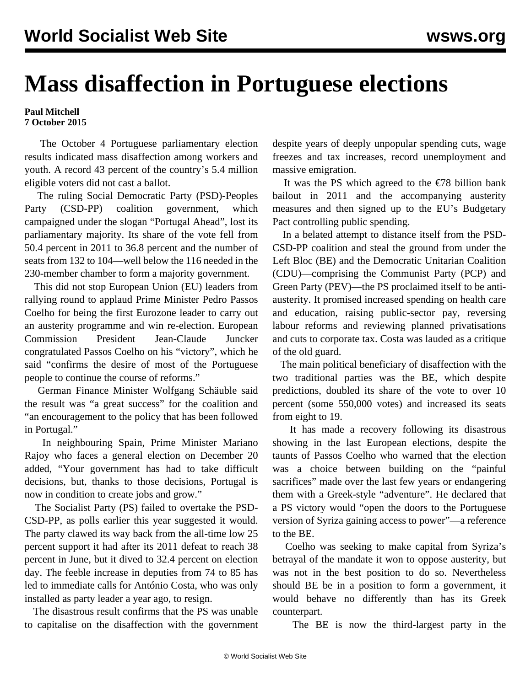## **Mass disaffection in Portuguese elections**

## **Paul Mitchell 7 October 2015**

 The October 4 Portuguese parliamentary election results indicated mass disaffection among workers and youth. A record 43 percent of the country's 5.4 million eligible voters did not cast a ballot.

 The ruling Social Democratic Party (PSD)-Peoples Party (CSD-PP) coalition government, which campaigned under the slogan "Portugal Ahead", lost its parliamentary majority. Its share of the vote fell from 50.4 percent in 2011 to 36.8 percent and the number of seats from 132 to 104—well below the 116 needed in the 230-member chamber to form a majority government.

 This did not stop European Union (EU) leaders from rallying round to applaud Prime Minister Pedro Passos Coelho for being the first Eurozone leader to carry out an austerity programme and win re-election. European Commission President Jean-Claude Juncker congratulated Passos Coelho on his "victory", which he said "confirms the desire of most of the Portuguese people to continue the course of reforms."

 German Finance Minister Wolfgang Schäuble said the result was "a great success" for the coalition and "an encouragement to the policy that has been followed in Portugal."

 In neighbouring Spain, Prime Minister Mariano Rajoy who faces a general election on December 20 added, "Your government has had to take difficult decisions, but, thanks to those decisions, Portugal is now in condition to create jobs and grow."

 The Socialist Party (PS) failed to overtake the PSD-CSD-PP, as polls earlier this year suggested it would. The party clawed its way back from the all-time low 25 percent support it had after its 2011 defeat to reach 38 percent in June, but it dived to 32.4 percent on election day. The feeble increase in deputies from 74 to 85 has led to immediate calls for António Costa, who was only installed as party leader a year ago, to resign.

 The disastrous result confirms that the PS was unable to capitalise on the disaffection with the government despite years of deeply unpopular spending cuts, wage freezes and tax increases, record unemployment and massive emigration.

It was the PS which agreed to the  $\epsilon$ 78 billion bank bailout in 2011 and the accompanying austerity measures and then signed up to the EU's Budgetary Pact controlling public spending.

 In a belated attempt to distance itself from the PSD-CSD-PP coalition and steal the ground from under the Left Bloc (BE) and the Democratic Unitarian Coalition (CDU)—comprising the Communist Party (PCP) and Green Party (PEV)—the PS proclaimed itself to be antiausterity. It promised increased spending on health care and education, raising public-sector pay, reversing labour reforms and reviewing planned privatisations and cuts to corporate tax. Costa was lauded as a critique of the old guard.

 The main political beneficiary of disaffection with the two traditional parties was the BE, which despite predictions, doubled its share of the vote to over 10 percent (some 550,000 votes) and increased its seats from eight to 19.

 It has made a recovery following its disastrous showing in the last European elections, despite the taunts of Passos Coelho who warned that the election was a choice between building on the "painful sacrifices" made over the last few years or endangering them with a Greek-style "adventure". He declared that a PS victory would "open the doors to the Portuguese version of Syriza gaining access to power"—a reference to the BE.

 Coelho was seeking to make capital from Syriza's betrayal of the mandate it won to oppose austerity, but was not in the best position to do so. Nevertheless should BE be in a position to form a government, it would behave no differently than has its Greek counterpart.

The BE is now the third-largest party in the